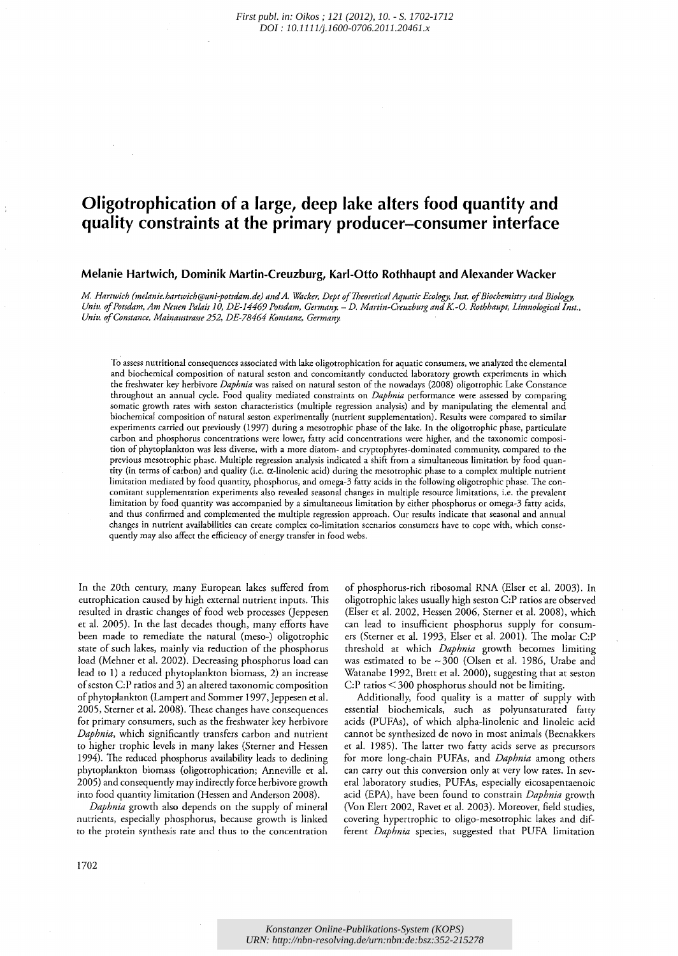# **Oligotrophication of a large, deep lake alters food quantity and quality constraints at the primary producer-consumer interface**

#### **Melanie Hartwich, Dominik Martin-Creuzburg, Karl-Otto Rothhaupt and Alexander Wacker**

*M Hartwich (melanie.hartwich@uni-potsdam.de) andA. Witcker, Dept of7heoretical Aquatic Ecology, Inst. of Biochemistry and Biology, Univ. of Potsdam, Am Neuen Palais 10, DE-14469 Potsdam, Germany.* - *D. Martin-Creuzburg and K-Q. Rothhaupt, Limnological Inst., Univ. ofConstance, Mainaustrasse* 252, *DE-78464 Konstanz, Germany.* 

To assess nutritional consequences associated with lake oligotrophication for aquatic consumers, we analyzed the elemental and biochemical composition of natural seston and concomitantly conducted laboratory growth experiments in which the freshwater key herbivore *Daphnia* was raised on natural seston of the nowadays (2008) oligotrophic Lake Constance throughout an annual cycle. Food quality mediated constraints on *Daphnia* performance were assessed by comparing somatic growth rates with seston characteristics (multiple regression analysis) and by manipulating the elemental and biochemical composition of natural seston experimentally (nutrient supplementation). Results were compared to similar experiments carried out previously (1997) during a mesotrophic phase of the lake. In the oligotrophic phase, particulate carbon and phosphorus concentrations were lower, fatty acid concentrations were higher, and the taxonomic composition of phytoplankton was less diverse, with a more diatom- and cryptophytes-dominated community, compared to the previous mesottophic phase. Multiple regression analysis indicated a shift from a simultaneous limitation by food quantity (in terms of carbon) and quality (Le. a-linolenic acid) during the mesotrophic phase to a complex multiple nutrient limitation mediated by food quantity, phosphorus, and omega-3 fatty acids in the following oligotrophic phase. The concomitant supplementation experiments also revealed seasonal changes in multiple resource limitations, i.e. the prevalent limitation by food quantity was accompanied by a simultaneous limitation by either phosphorus or omega-3 fatty acids, and thus confirmed and complemented the multiple regression approach. Our results indicate that seasonal and annual changes in nutrient availabilities can create complex co-limitation scenarios consumers have to cope with, which consequently may also affect the efficiency of energy transfer in food webs.

In the 20th century, many European lakes suffered from eutrophication caused by high external nutrient inputs. 'Ihis resulted in drastic changes of food web processes (Jeppesen et al. 2005). In the last decades though, many efforts have been made to remediate the natural (meso-) oligotrophic state of such lakes, mainly via reduction of the phosphorus load (Mehner et al. 2002). Decreasing phosphorus load can lead to 1) a reduced phytoplankton biomass, 2) an increase of seston C:P ratios and 3) an altered taxonomic composition of phyroplankton (Lam pert and Sommer 1997, Jeppesen et al. 2005, Sterner et al. 2008). These changes have consequences for primary consumers, such as the freshwater key herbivore *Daphnia,* which significantly transfers carbon and nutrient to higher trophic levels in many lakes (Sterner and Hessen 1994). The reduced phosphorus availability leads to declining phyroplankton biomass (oligotrophication; Anneville et al. 2005) and consequently may indirectly force herbivore growth into food quantity limitation (Hessen and Anderson 2008).

*Daphnia* growth also depends on the supply of mineral nutrients, especially phosphorus, because growth is linked to the protein synthesis rate and thus to the concentration of phosphorus-rich ribosomal RNA (Elser et al. 2003). In oligotrophic lakes usually high seston C:P ratios are observed (Elser et al. 2002, Hessen 2006, Sterner et al. 2008), which can lead to insufficient phosphorus supply for consumers (Sterner et al. 1993, Elser et al. 2001). The molar C:P threshold at which *Daphnia* growth becomes limiting was estimated to be  $\sim 300$  (Olsen et al. 1986, Urabe and Watanabe 1992, Brett et al. 2000), suggesting that at seston  $C:P$  ratios  $<$  300 phosphorus should not be limiting.

Additionally, food quality is a matter of supply with essential biochemicals, such as polyunsaturated fatty acids (PUFAs), of which alpha-linolenic and linoleic acid cannot be synthesized de novo in most animals (Beenakkers et al. 1985). The latter two fatty acids serve as precursors for more long-chain PUFAs, and *Daphnia* among others can carry out this conversion only at very low rates. In several laboratory studies, PUFAs, especially eicosapentaenoic acid (EPA), have been found to constrain *Daphnia* growth (Von Elert 2002, Ravet et al. 2003). Moreover, field studies, covering hypertrophic to oligo-mesotrophic lakes and different *Daphnia* species, suggested that PUFA limitation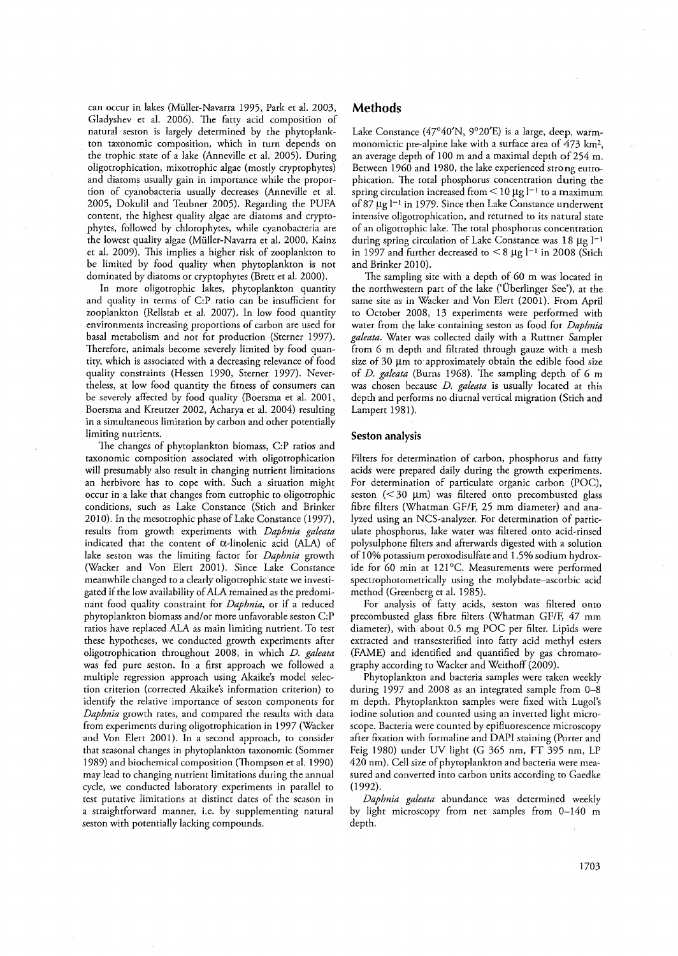can occur in lakes (Miiller-Navarra 1995, Park et al. 2003, Gladyshev et al. 2006). The fatty acid composition of natural seston is largely determined by the phytoplankton taxonomic composition, which in turn depends on the trophic state of a lake (Anneville et al. 2005). During oligotrophication, mixotrophic algae (mostly cryptophytes) and diatoms usually gain in importance while the proportion of cyanobacteria usually decreases (Anneville et al. 2005, Dokulil and Teubner 2005). Regarding the PUFA content, the highest quality algae are diatoms and cryptophytes, followed by chlorophytes, while cyanobacteria are the lowest quality algae (Miiller-Navarra et al. 2000, Kainz et al. 2009). This implies a higher risk of zooplankton to be limited by food quality when phytoplankton is not dominated by diaroms or cryptophytes (Brett et al. 2000).

In more oligotrophic lakes, phytoplankton quantity and quality in terms of C:P ratio can be insufficient for zooplankton (Rellstab et al. 2007). In low food quantity environments increasing proportions of carbon are used for basal metabolism and not for production (Sterner 1997). Therefore, animals become severely limited by food quantity, which is associated with a decreasing relevance of food quality constraints (Hessen 1990, Sterner 1997). Nevertheless, at low food quantity the fitness of consumers can be severely affected by food quality (Boersma et al. 2001, Boersma and Kreutzer 2002, Acharya et al. 2004) resulting in a simultaneous limitation by carbon and other potentially limiting nutrients.

The changes of phytoplankton biomass, C:P ratios and taxonomic composition associated with oligotrophication will presumably also result in changing nutrient limitations an herbivore has to cope with. Such a situation might occur in a lake that changes from eutrophic to oligotrophic conditions, such as Lake Constance (Stich and Brinker 2010). In the mesotrophic phase of Lake Constance (1997), results from growth experiments with *Daphnia galeata*  indicated that the content of  $\alpha$ -linolenic acid (ALA) of lake seston was the limiting factor for *Daphnia* growth (Wacker and Von Elert 2001). Since Lake Constance meanwhile changed to a clearly oligotrophic state we investigated if the low availability of ALA remained as the predominant food quality constraint for *Daphnia,* or if a reduced phytoplankton biomass and/or more unfavorable seston C:P ratios have replaced ALA as main limiting nutrient. To test these hypotheses, we conducted growth experiments after oligotrophication throughout 2008, in which *D. galeata*  was fed pure seston. In a first approach we followed a multiple regression approach using Akaike's model selection criterion (corrected Akaike's information criterion) to identify the relative importance of seston components for *Daplmia* growth rates, and compared the results with data from experiments during oligotrophication in 1997 (Wacker and Von Elert 2001). In a second approach, to consider that seasonal changes in phytoplankton taxonomic (Sommer 1989) and biochemical composition (Thompson et al. 1990) may lead to changing nutrient limitations during the annual cycle, we conducted laboratory experiments in parallel to test putative limitations at distinct dates of the season in a straightforward manner, i.e. by supplementing natural seston with potentially lacking compounds.

## **Methods**

Lake Constance (47°40'N, 9°20'E) is a large, deep, warmmonomictic pre-alpine lake with a surface area of  $\overline{473}$  km<sup>2</sup>, an average depth of 100 m and a maximal depth of254 m. Between 1960 and 1980, the lake experienced strong eutrophication. The total phosphorus concentration during the spring circulation increased from  $\leq 10 \mu g$  l<sup>-1</sup> to a maximum of 87  $\mu$ g l<sup>-1</sup> in 1979. Since then Lake Constance underwent intensive oligotrophication, and returned to its natural state of an oligotrophic lake. The total phosphorus concentration during spring circulation of Lake Constance was  $18 \mu g$  I<sup>-1</sup> in 1997 and further decreased to  $\leq 8 \mu g$  l<sup>-1</sup> in 2008 (Stich and Brinker 2010).

The sampling site with a depth of 60 m was located in the northwestern part of the lake ('Oberlinger See'), at the same site as in Wacker and Von Elert (2001). From April to October 2008, 13 experiments were performed with water from the lake containing seston as food for *Daphnia galeata.* Water was collected daily with a Ruttner Sampler from 6 m depth and filtrated through gauze with a mesh size of 30 µm to approximately obtain the edible food size of *D. galeata* (Burns 1968). 'The sampling depth of 6 m was chosen because *D. galeata* is usually located at this depth and performs no diurnal vertical migration (Stich and Lampert 1981).

# **Seston analysis**

Filters for determination of carbon, phosphorus and fatty acids were prepared daily during the growth experiments. For determination of particulate organic carbon (POC), seston  $(<$ 30  $\mu$ m) was filtered onto precombusted glass fibre filters (Whatman GF/F, 25 mm diameter) and analyzed using an NCS-analyzer. For determination of particulate phosphorus, lake water was filtered onto acid-rinsed polysulphone filters and afterwards digested with a solution of 1 0% potassium peroxodisulfate and 1.5% sodium hydroxide for 60 min at 121°C. Measurements were performed spectrophotometrically using the molybdate-ascorbic acid method (Greenberg et al. 1985).

For analysis of fatty acids, seston was filtered onto precombusted glass fibre filters (Whatman GF/F, 47 mm diameter), with about 0.5 mg POC per filter. Lipids were extracted and transesterified into fatty acid methyl esters (FAME) and identified and quantified by gas chromatography according to Wacker and Weithoff (2009).

Phytoplankton and bacteria samples were taken weekly during 1997 and 2008 as an integrated sample from 0-8 m depth. Phytoplankton samples were fixed with Lugol's iodine solution and counted using an inverted light microscope. Bacteria were counted by epifluorescence microscopy after fixation with formaline and DAPI staining (Porter and Feig 1980) under UV light (G 365 nm, FT 395 nm, LP 420 nm). Cell size of phytoplankton and bacteria were measured and converted into carbon units according to Gaedke (1992).

*Daphnia galeata* abundance was determined weekly by light microscopy from net samples from 0-140 m depth.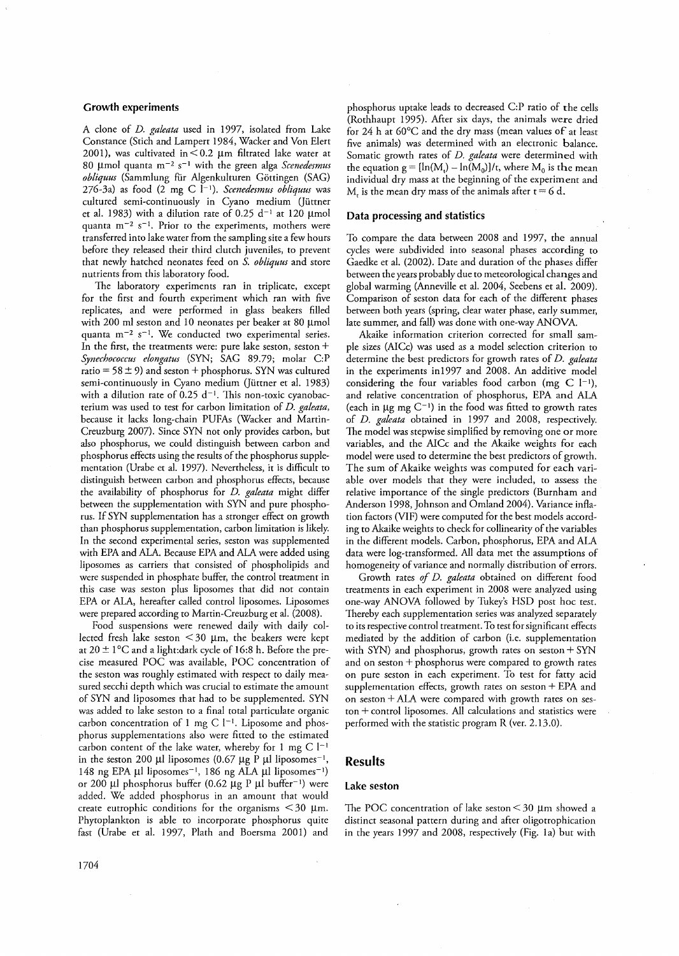#### **Growth experiments**

A clone of *D. galeata* used in 1997, isolated from Lake Constance (Stich and Lampert 1984, Wacker and Von Elert 2001), was cultivated in  $< 0.2$  µm filtrated lake water at 80 µmol quanta m<sup>-2</sup> s<sup>-1</sup> with the green alga *Scenedesmus* obliquus (Sammlung für Algenkulturen Göttingen (SAG) 276-3a) as food (2 mg C<sup>I-1</sup>). *Scenedesmus obliquus* was cultured semi-continuously in Cyano medium (Jüttner et al. 1983) with a dilution rate of 0.25 d<sup>-1</sup> at 120  $\mu$ mol quanta  $m^{-2}$  s<sup>-1</sup>. Prior to the experiments, mothers were transferred into lake water from the sampling site a few hours before they released their third clutch juveniles, to prevent that newly hatched neonates feed on S. *obliquus* and store nutrients from this laboratory food.

The laboratory experiments ran in triplicate, except for the first and fourth experiment which ran with five replicates, and were performed in glass beakers filled with 200 ml seston and 10 neonates per beaker at 80 µmol quanta  $m^{-2}$  s<sup>-1</sup>. We conducted two experimental series. In the first, the treatments were: pure lake seston, seston + *Synechococcus elongatus* (SYN; SAG 89.79; molar C:P ratio =  $58 \pm 9$ ) and seston + phosphorus. SYN was cultured semi-continuously in Cyano medium (Jüttner et al. 1983) with a dilution rate of  $0.25$  d<sup>-1</sup>. This non-toxic cyanobacterium was used to test for carbon limitation of *D. galeata,*  because it lacks long-chain PUFAs (Wacker and Martin-Creuzburg 2007). Since SYN not only provides carbon, but also phosphorus, we could distinguish between carbon and phosphorus effects using the results of the phosphorus supplementation (Urabe et al. 1997). Nevertheless, it is difficult to distinguish between carbon and phosphorus effects, because the availability of phosphorus for *D. galeata* might differ between the supplementation with SYN and pure phosphorus. If SYN supplementation has a stronger effect on growth than phosphorus supplementation, carbon limitation is likely. In the second experimental series, seston was supplemented with EPA and ALA. Because EPA and ALA were added using liposomes as carriers that consisted of phospholipids and were suspended in phosphate buffer, the control treatment in this case was seston plus liposomes that did not contain EPA or ALA, hereafter called control liposomes. Liposomes were prepared according to Martin-Creuzburg et al. (2008).

Food suspensions were renewed daily with daily collected fresh lake seston  $<$  30  $\mu$ m, the beakers were kept at 20 ± 1°C and a light:dark cycle of 16:8 h. Before the precise measured POC was available, POC concentration of the seston was roughly estimated with respect to daily measured secchi depth which was crucial to estimate the amount of SYN and liposomes that had to be supplemented. SYN was added to lake seston to a final total particulate organic carbon concentration of 1 mg  $C$   $I^{-1}$ . Liposome and phosphorus supplementations also were fitted to the estimated carbon content of the lake water, whereby for 1 mg  $Cl^{-1}$ in the seston 200 µl liposomes (0.67 µg P µl liposomes<sup>-1</sup>, 148 ng EPA µl liposomes<sup>-1</sup>, 186 ng ALA µl liposomes<sup>-1</sup>) or 200  $\mu$ I phosphorus buffer (0.62  $\mu$ g P  $\mu$ I buffer<sup>-1</sup>) were added. We added phosphorus in an amount that would create eutrophic conditions for the organisms < 30 *Ilm.*  Phytoplankton is able to incorporate phosphorus quite fast (Urabe et al. 1997, Plath and Boersma 2001) and

phosphorus uptake leads to decreased C:P ratio of the cells (Rothhaupt 1995). After six days, the animals were dried for 24 h at 60°C and the dry mass (mean values of at least five animals) was determined with an electronic balance. Somatic growth rates of *D. galeata* were determined with the equation g =  $[\ln(M_1) - \ln(M_0)]/t$ , where  $M_0$  is the mean individual dry mass at the beginning of the experiment and M, is the mean dry mass of the animals after  $t = 6$  d.

#### **Data processing and statistics**

To compare the data between 2008 and 1997, the annual cycles were subdivided into seasonal phases according to Gaedke et al. (2002). Date and duration of the phases differ between the years probably due to meteorological changes and global warming (Anneville et al. 2004, Seebens et al. 2009). Comparison of seston data for each of the different phases between both years (spring, clear water phase, early summer, late summer, and fall) was done with one-way ANOVA.

Akaike information criterion corrected for small sample sizes (AICc) was used as a model selection criterion to determine the best predictors for growth rates of *D. galeata*  in the experiments in1997 and 2008. An additive model considering the four variables food carbon (mg C  $[-1]$ ), and relative concentration of phosphorus, EPA and ALA (each in  $\mu$ g mg C<sup>-1</sup>) in the food was fitted to growth rates of *D. galeata* obtained in 1997 and 2008, respectively. The model was stepwise simplified by removing one or more variables, and the AICc and the Akaike weights for each model were used to determine the best predictors of growth. The sum of Akaike weights was computed for each variable over models that they were included, ro assess the relative importance of the single predictors (Burnham and Anderson 1998, Johnson and Omland 2004). Variance inflation factors (VIF) were computed for the best models according ro Akaike weights to check for collinearity of the variables in the different models. Carbon, phosphorus, EPA and ALA data were log-transformed. All data met the assumptions of homogeneity of variance and normally distribution of errors.

Growth rates *of D. galeata* obtained on different food treatments in each experiment in 2008 were analyzed using one-way ANOVA followed by Tukey's HSD post hoc test. Thereby each supplementation series was analyzed separately to its respective control treatment. To test for significant effects mediated by the addition of carbon (i.e. supplementation with SYN) and phosphorus, growth rates on seston + SYN and on seston  $+$  phosphorus were compared to growth rates on pure seston in each experiment. To test for fatty acid supplementation effects, growth rates on seston  $+$  EPA and on seston + ALA were compared with growth rates on seston + control liposomes. All calculations and statistics were performed with the statistic program R (ver. 2.13.0).

# **Results**

#### **lake seston**

The POC concentration of lake seston  $\leq$  30  $\mu$ m showed a distinct seasonal pattern during and after oligotrophication in the years 1997 and 2008, respectively (Fig. 1a) but with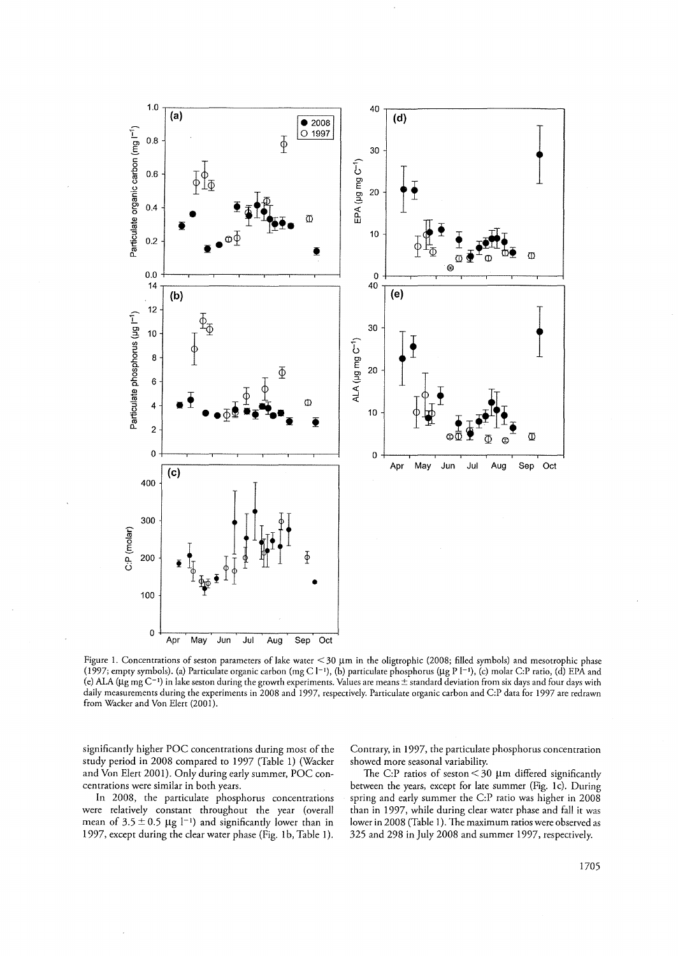

Figure 1. Concentrations of seston parameters of lake water < 30  $\mu$ m in the oligtrophic (2008; filled symbols) and mesotrophic phase (1997; empty symbols). (a) Particulate organic carbon (mg C l<sup>-1</sup>), (b) particulate phosphorus (µg P l<sup>-1</sup>), (c) molar C:P ratio, (d) EPA and (e) ALA ( $\mu$ g mg C<sup>-1</sup>) in lake seston during the growth experiments. Values are means  $\pm$  standard deviation from six days and four days with daily measurements during the experiments in 2008 and 1997, respectively. Particulate organic carbon and CP data for 1997 are redrawn from Wacker and Von Elert (2001).

significantly higher POC concentrations during most of the study period in 2008 compared to 1997 (Table 1) (Wacker and Von Elert 2001). Only during early summer, POC concentrations were similar in both years.

In 2008, the particulate phosphorus concentrations were relatively constant throughout the year (overall mean of  $3.5 \pm 0.5$  µg l<sup>-1</sup>) and significantly lower than in 1997, except during the dear water phase (Fig. 1 b, Table 1). Contrary, in 1997, the particulate phosphorus concentration showed more seasonal variabiliry.

The C:P ratios of seston  $\leq$  30  $\mu$ m differed significantly between the years, except for late summer (Fig. lc). During spring and early summer the C:P ratio was higher in 2008 than in 1997, while during dear water phase and fall it was lower in 2008 (Table 1). The maximum ratios were observed as 325 and 298 in July 2008 and summer 1997, respectively.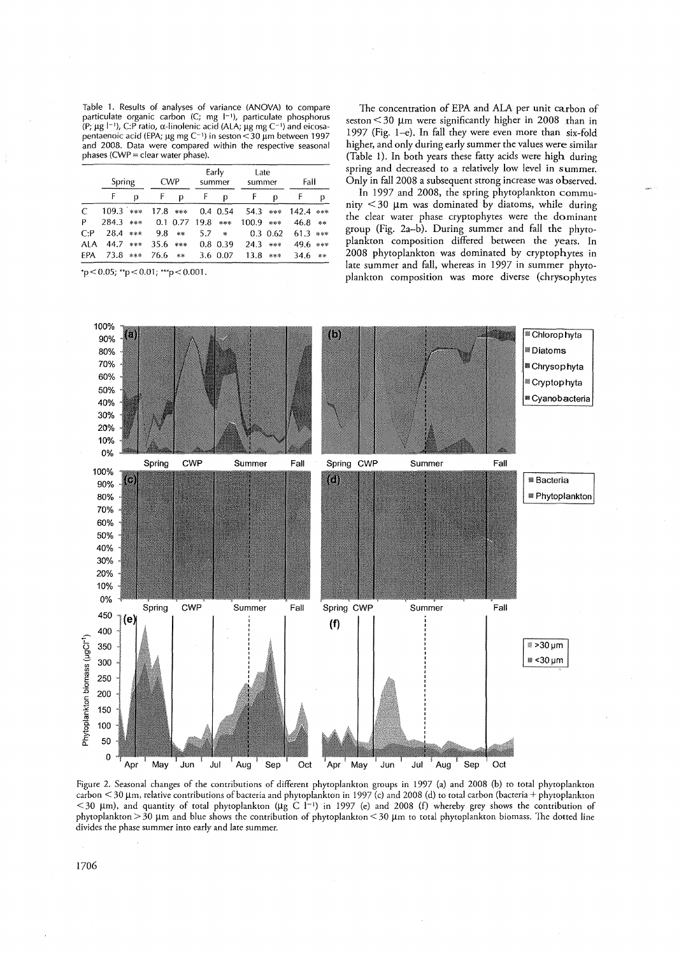Table 1. Results of analyses of variance (ANOVA) to compare particulate organic carbon (C; mg  $|-1$ ), particulate phosphorus  $(P; \mu g \nvert^{-1})$ , C:P ratio,  $\alpha$ -linolenic acid (ALA;  $\mu g$  mg C<sup>-1</sup>) and eicosapentaenoic acid (EPA;  $\mu$ g mg C<sup>-1</sup>) in seston < 30  $\mu$ m between 1997 and 2008. Data were compared within the respective seasonal phases (CWP = clear water phase).

|            | Spring      |                    | CWP  |                 | Early<br>summer |            | Late<br>summer |               | Fall  |         |
|------------|-------------|--------------------|------|-----------------|-----------------|------------|----------------|---------------|-------|---------|
|            | F           | D                  | F    | p               |                 | p          |                | р             |       | р       |
| $\subset$  | $109.3$ *** |                    | 17.8 | ***             |                 | $0.4$ 0.54 | 54.3           | ***           | 142.4 | ***     |
| P          | $284.3$ *** |                    |      | $0.1 \ 0.77$    | $19.8$ ***      |            | 100.9          | ***           | 46.8  | 冰米      |
| C.P        | 28.4        | ***                | 9.8  | $\star$ $\star$ | 5.7             | $\ast$     |                | $0.3 \, 0.62$ | 61.3  | $* * *$ |
| ALA        | 44.7        | $\ast \times \ast$ | 35.6 | ***             |                 | 0.8 0.39   | 24.3           | $***$         | 49.6  | $***$   |
| <b>FPA</b> | 73.8        | ***                | 76.6 | **              |                 | 3.6 0.07   | 13.8           | $***$         | 34.6  | $**$    |

 $p < 0.05$ ; \*\*p  $< 0.01$ ; \*\*\*p  $< 0.001$ .

The concentration of EPA and ALA per unit carbon of seston  $<$  30  $\mu$ m were significantly higher in 2008 than in 1997 (Fig. 1-e). In fall they were even more than six-fold higher, and only during early summer the values were similar (Table 1). In both years these fatty acids were high during spring and decreased to a relatively low level in summer. Only in fall 2008 a subsequent strong increase was observed.

In 1997 and 2008, the spring phytoplankton community  $<$  30  $\mu$ m was dominated by diatoms, while during the clear water phase cryptophytes were the dominant group (Fig. 2a-b). During summer and fall the phytoplankton composition differed between the years. In 2008 phytoplankton was dominated by cryptophytes in late summer and fall, whereas in 1997 in summer phytoplankton composition was more diverse (chrysophytes



Figure 2. Seasonal changes of the contributions of different phytoplankton groups in 1997 (a) and 2008 (b) to total phytoplankton carbon  $\leq$  30  $\mu$ m, relative contributions of bacteria and phytoplankton in 1997 (c) and 2008 (d) to total carbon (bacteria + phytoplankton <30 µm), and quantity of total phytoplankton (µg C 1-1) in 1997 (e) and 2008 (f) whereby grey shows the contribution of phytoplankton  $> 30$   $\mu$ m and blue shows the contribution of phytoplankton  $<$  30  $\mu$ m to total phytoplankton biomass. The dotted line divides the phase summer into early and late summer.

1706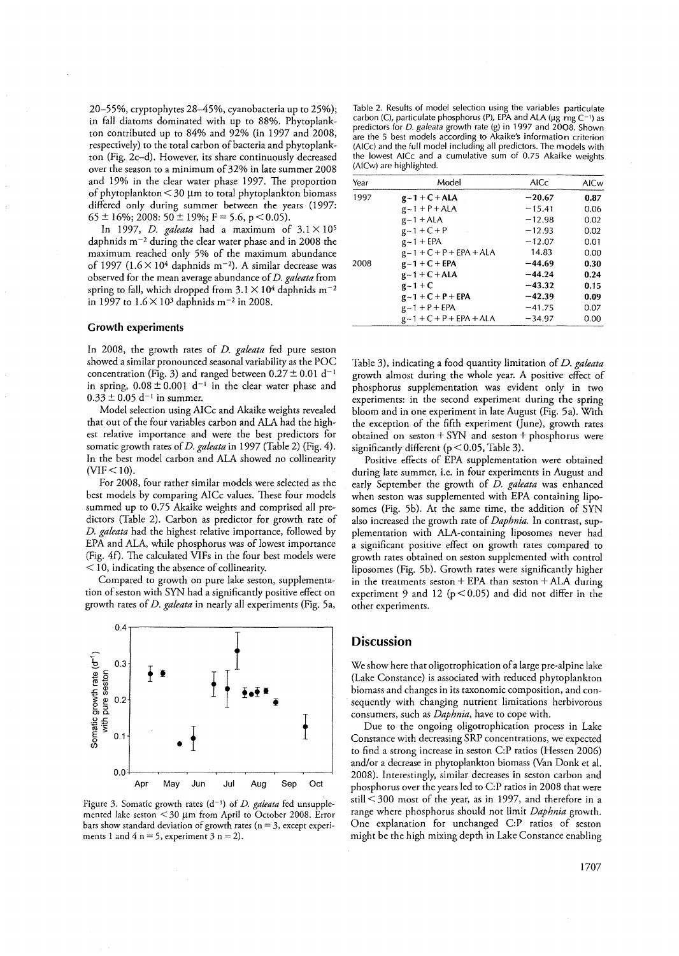20-55%, cryptophytes 28-45%, cyanobacteria up to 25%); in fall diatoms dominated with up to 88%. Phytoplankton contributed up to 84% and 92% (in 1997 and 2008, respectively) to the total carbon of bacteria and phytoplankron (Fig. 2c-d). However, its share continuously decreased over the season to a minimum of 32% in late summer 2008 and 19% in the clear water phase 1997. The proportion of phytoplankton  $\leq$  30  $\mu$ m to total phytoplankton biomass differed only during summer berween the years (1997:  $65 \pm 16\%$ ; 2008:  $50 \pm 19\%$ ; F = 5.6, p < 0.05).

In 1997, *D. galeata* had a maximum of  $3.1 \times 10^5$ daphnids m-2 during the clear water phase and in 2008 the maximum reached only 5% of the maximum abundance of 1997 (1.6  $\times$  10<sup>4</sup> daphnids m<sup>-2</sup>). A similar decrease was observed for the mean average abundance of *D. ga/eata* from spring to fall, which dropped from  $3.1 \times 10^4$  daphnids m<sup>-2</sup> in 1997 to  $1.6 \times 10^3$  daphnids m<sup>-2</sup> in 2008.

#### **Growth experiments**

In 2008, the growth rates of *D. galeata* fed pure seston showed a similar pronounced seasonal variability as the POC concentration (Fig. 3) and ranged between  $0.27 \pm 0.01$  d<sup>-1</sup> in spring,  $0.08 \pm 0.001$  d<sup>-1</sup> in the clear water phase and  $0.33 \pm 0.05$  d<sup>-1</sup> in summer.

Model selection using *AlCc* and Akaike weights revealed that out of the four variables carbon and ALA had the highest relative importance and were the best predictors for somatic growth rates of *D. galeata* in 1997 (Table 2) (Fig. 4). In the best model carbon and ALA showed no collinearity  $(VIF < 10)$ .

For 2008, four rather similar models were selected as the best models by comparing AICc values. These four models summed up to 0.75 Akaike weights and comprised all predictors (Table 2). Carbon as predictor for growth rate of *D. galeata* had the highest relative importance, followed by EPA and ALA, while phosphorus was of lowest importance (Fig. 4f). The calculated VIFs in the four best models were < 10, indicating the absence of collinearity.

Compared to growth on pure lake seston, supplementation of seston with SYN had a significantly positive effect on growth rates of *D. galeata* in nearly all experiments (Fig. 5a,



Figure 3. Somatic growth rates (d-I) of *D. galeata* fed unsupplemented lake seston  $\leq$  30  $\mu$ m from April to October 2008. Error bars show standard deviation of growth rates ( $n = 3$ , except experiments 1 and 4 n = 5, experiment 3 n = 2).

| Table 2. Results of model selection using the variables particulate                   |
|---------------------------------------------------------------------------------------|
| carbon (C), particulate phosphorus (P), EPA and ALA ( $\mu$ g mg C <sup>-1</sup> ) as |
| predictors for <i>D. galeata</i> growth rate (g) in 1997 and 2008, Shown              |
| are the 5 best models according to Akaike's information criterion                     |
| (AICc) and the full model including all predictors. The models with                   |
| the lowest AICc and a cumulative sum of 0.75 Akaike weights                           |
| (AICw) are highlighted.                                                               |

| Year | Model                       | <b>AICc</b> | <b>AICw</b> |
|------|-----------------------------|-------------|-------------|
| 1997 | $g-1+C+ALA$                 | $-20.67$    | 0.87        |
|      | $g - 1 + P + ALA$           | $-15.41$    | 0.06        |
|      | $g - 1 + ALA$               | $-12.98$    | 0.02        |
|      | $g - 1 + C + P$             | $-12.93$    | 0.02        |
|      | $g - 1 + EPA$               | $-12.07$    | 0.01        |
|      | $g-1+C+P+EPA+ALA$           | 14.83       | 0.00        |
| 2008 | $g - 1 + C + EPA$           | $-44.69$    | 0.30        |
|      | $g \sim 1 + C + ALA$        | $-44.24$    | 0.24        |
|      | $g - 1 + C$                 | $-43.32$    | 0.15        |
|      | $g - 1 + C + P + EPA$       | $-42.39$    | 0.09        |
|      | $g - 1 + P + EPA$           | $-41.75$    | 0.07        |
|      | $g - 1 + C + P + EPA + ALA$ | $-34.97$    | 0.00        |

Table 3), indicating a food quantity limitation of D. *galeata*  growth almost during the whole year. A positive effect of phosphorus supplementation was evident only in rwo experiments: in the second experiment during the spring bloom and in one experiment in late August (Fig. 5a). With the exception of the fifth experiment (June), growth rates obtained on seston + SYN and seston + phosphorus were significantly different ( $p < 0.05$ , Table 3).

Positive effects of EPA supplementation were obtained during late summer, i.e. in four experiments in August and early September the growth of *D. galeata* was enhanced when seston was supplemented with EPA containing liposomes (Fig. 5b). At the same time, the addition of SYN also increased the growth rate of *Daphnia.* In contrast, supplementation with ALA-containing liposomes never had a significant positive effect on growth rates compared to growth rates obtained on seston supplemented with control Iiposomes (Fig. 5b). Growth rates were significantly higher in the treatments seston  $+$  EPA than seston  $+$  ALA during experiment 9 and 12 ( $p$  < 0.05) and did not differ in the other experiments.

## **Discussion**

We show here that oligotrophication of a large pre-alpine lake (Lake Constance) is associated with reduced phytoplankton biomass and changes in its taxonomic composition, and con- . sequently with changing nutrient limitations herbivorous consumers, such as *Daphnia,* have to cope with.

Due to the ongoing oligotrophication process in Lake Constance with decreasing SRP concentrations, we expected to find a strong increase in seston C:P ratios (Hessen 2006) and/or a decrease in phyroplankton biomass (Van Donk et al. 2008). Interestingly, similar decreases in seston carbon and phosphorus over the years led to C:P ratios in 2008 that were still < 300 most of the year, as in 1997, and therefore in a range where phosphorus should not limit *Daphnia* growth. One explanation for unchanged C:P ratios of seston might be the high mixing depth in Lake Constance enabling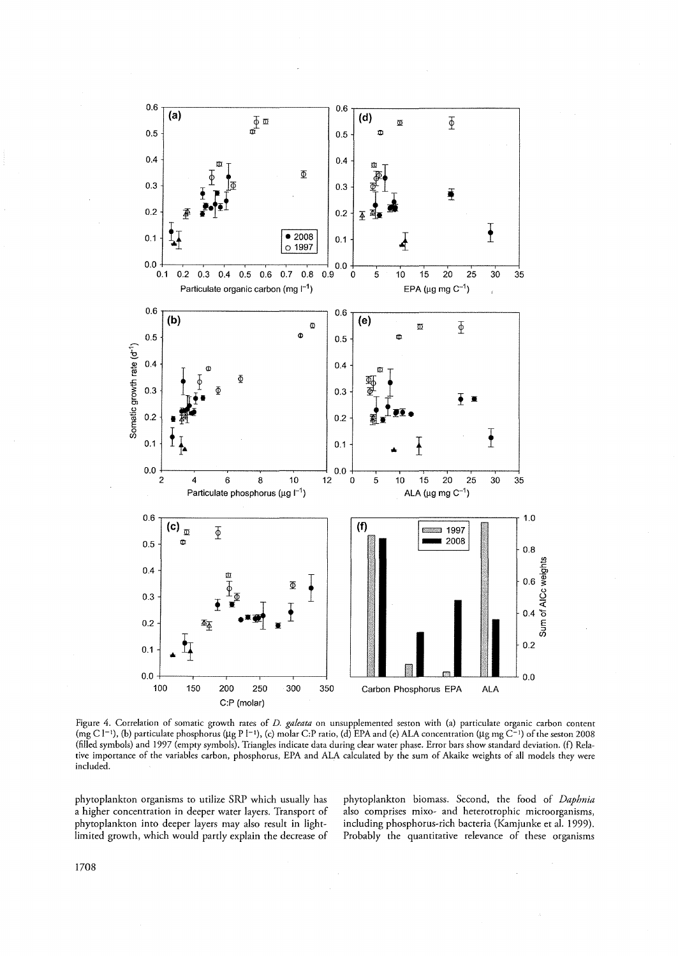

Figure 4. Correlation of somatic growth rates of D. *galeata* on unsupplemented seston with (a) particulate organic carbon content (mg C l<sup>-1</sup>), (b) particulate phosphorus (µg P l<sup>-1</sup>), (c) molar C:P ratio, (d) EPA and (e) ALA concentration (µg mg C<sup>-1</sup>) of the seston 2008 (filled symbols) and 1997 (empty symbols). Triangles indicate data during clear water phase. Error bars show standard deviation. (f) Relative importance of the variables carbon, phosphorus, EPA and ALA calculated by the sum of Akaike weights of all models they were included.

phytoplankton organisms to utilize SRP which usually has a higher concentration in deeper water layers. Transport of phytoplankton into deeper layers may also result in lightlimited growth, which would partly explain the decrease of phytoplankton biomass. Second, the food of *Daphnia*  also comprises mixo- and heterotrophic microorganisms, including phosphorus-rich bacteria (Kamjunke et al. 1999). Probably the quantitative relevance of these organisms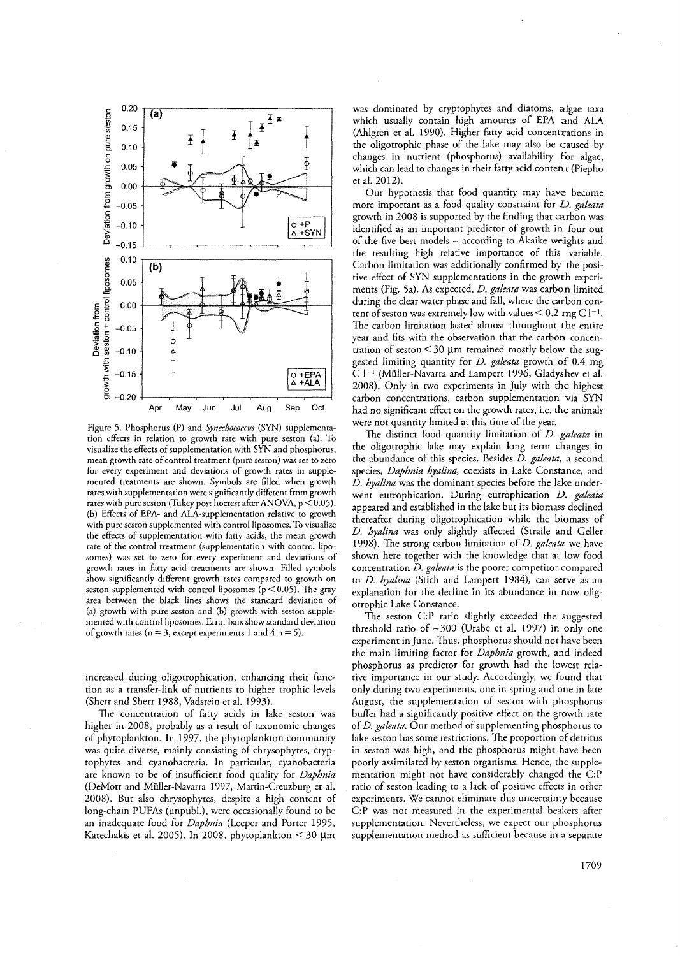

Figure 5. Phosphorus (P) and *Synechococcus* (SYN) supplementation effects in relation to growth rate with pure seston (a). To visualize the effects of supplementation with SYN and phosphorus, mean growth rate of control treatment (pure seston) was set to zero for every experiment and deviations of growth rates in supplemented treatments are shown. Symbols are filled when growth rates with supplementation were significantly different from growth rates with pure seston (Tukey post hoctest after ANOVA, p < 0.05). (b) Effects of EPA- and ALA-supplementation relative to growth with pure seston supplemented with control liposomes. To visualize the effects of supplementation with fatty acids, the mean growth rate of the control treatment (supplementation with control liposomes) was set to zero for every experiment and deviations of growth rates in fatty acid treatments are shown. Filled symbols show significantly different growth rates compared to growth on seston supplemented with control liposomes ( $p < 0.05$ ). The gray area between the black lines shows the standard deviation of (a) growth with pure seston and (b) growth with seston supplemented with control liposomes. Error bars show standard deviation of growth rates ( $n = 3$ , except experiments 1 and 4  $n = 5$ ).

increased during oligotrophication, enhancing their function as a transfer-link of nutrients to higher trophic levels (Sherr and Sherr 1988, Vadstein et al. 1993).

The concentration of fatty acids in lake seston was higher in 2008, probably as a result of taxonomic changes of phytoplankton. In 1997, the phytoplankton community was quite diverse, mainly consisting of chrysophytes, cryptophytes and cyanobacteria. In particular, cyanobacteria are known to be of insufficient food quality for *Daphnia*  (DeMott and Müller-Navarra 1997, Martin-Creuzburg et al. 2008). But also chrysophytes, despite a high content of long-chain PUFAs (unpubl.), were occasionally found to be an inadequate food for *Daphnia* (Leeper and Porter 1995, Katechakis et al. 2005). In 2008, phytoplankton  $\leq$  30  $\mu$ m was dominated by cryptophytes and diatoms, algae taxa which usually contain high amounts of EPA and ALA (Ahlgren et al. 1990). Higher fatty acid concentrations in the oligotrophic phase of the lake may also be caused by changes in nutrient (phosphorus) availability for algae, which can lead to changes in their fatty acid conten t (Piepho et al. 2012).

Our hypothesis that food quantity may have become more important as a food quality constraint for *D. galeata*  growth in 2008 is supported by the finding that carbon was identified as an important predictor of growth in four out of the five best models - according to Akaike weights and the resulting high relative importance of this variable. Carbon limitation was additionally confirmed by the positive effect of SYN supplementations in the growth experiments (Fig. Sa). As expected, *D. ga!eata* was carbon limited during the clear water phase and fall, where the carbon content of seston was extremely low with values  $\leq 0.2$  mg Cl<sup>-1</sup>. 'Ibe carbon limitation lasted almost throughout the entire year and fits with the observation that the carbon concentration of seston  $\leq$  30  $\mu$ m remained mostly below the suggested limiting quantity for *D. ga!eata* growth of 0.4 mg C I-I (MiilIer-Navarra and Lampert 1996, Gladyshev et al. 2008). Only in two experiments in July with the highest carbon concentrations, carbon supplementation via SYN had no significant effect on the growth rates, i.e. the animals were not quantity limited at this time of the year.

The distinct food quantity limitation of *D. galeata* in the oligotrophic lake may explain long term changes in the abundance of this species. Besides *D. galeata,* a second species, *Daphnia hyalina,* coexists in Lake Constance, and *D. hyalina* was the dominant species before the lake underwent eutrophication. During eutrophication *D. galeata* appeared and established in the lake but its biomass declined thereafter during oligotrophication while the biomass of *D. hyalina* was only slightly affected (Straile and GelIer 1998). The strong carbon limitation of *D. galeata* we have shown here together with the knowledge that at low food concentration *D. galeata* is the poorer competitor compared to *D. hyalina* (Stich and Lampert 1984), can serve as an explanation for the decline in its abundance in now oligotrophic Lake Constance.

The seston C:P ratio slightly exceeded the suggested threshold ratio of  $\sim$  300 (Urabe et al. 1997) in only one experiment in June. Thus, phosphorus should not have been the main limiting factor for *Daphnia* growth, and indeed phosphorus as predictor for growth had the lowest relative importance in our study. Accordingly, we found that only during two experiments, one in spring and one in late August, the supplementation of seston with phosphorus buffer had a significantly positive effect on the growth rate of *D. galeata*. Our method of supplementing phosphorus to lake seston has some restrictions. The proportion of detritus in seston was high, and the phosphorus might have been poorly assimilated by seston organisms. Hence, the supplementation might not have considerably changed the C:P ratio of seston leading to a lack of positive effects in other experiments. We cannot eliminate this uncertainty because C:P was not measured in the experimental beakers after supplementation. Nevertheless, we expect our phosphorus supplementation method as sufficient because in a separate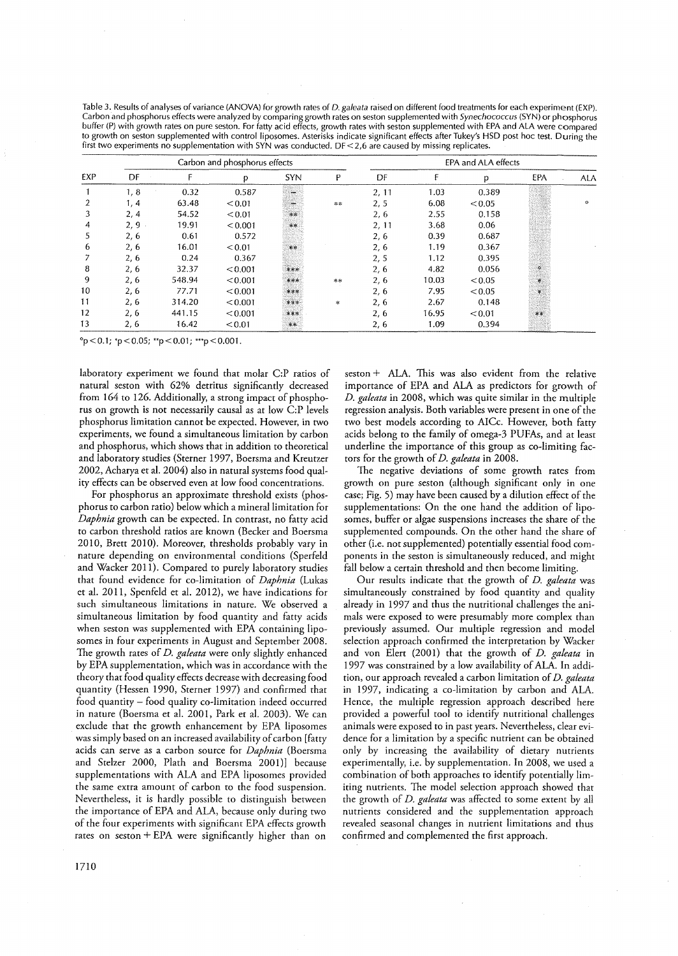Table 3. Results of analyses of variance (ANOVA) for growth rates of *D. galeata* raised on different food treatments for each experiment (EXP). Carbon and phosphorus effects were analyzed by comparing growth rates on seston supplemented with *Synechococcus* (SYN) or phosphorus buffer (P) with growth rates on pure seston. For fatty acid effects, growth rates with seston supplemented with EPA and ALA were compared to growth on seston supplemented with control liposomes. Asterisks indicate significant effects after Tukey's HSO post hoc test. During the first two experiments no supplementation with SYN was conducted. DF < 2,6 are caused by missing replicates.

|     |          | Carbon and phosphorus effects |         |              |                             |       | <b>EPA and ALA effects</b> |        |                     |            |  |  |
|-----|----------|-------------------------------|---------|--------------|-----------------------------|-------|----------------------------|--------|---------------------|------------|--|--|
| EXP | DF.      |                               | D       | SYN          | p                           | DF    | F                          | р      | EPA                 | <b>ALA</b> |  |  |
|     | 1,8      | 0.32                          | 0.587   |              |                             | 2, 11 | 1.03                       | 0.389  |                     |            |  |  |
| 2   | 1,4      | 63.48                         | < 0.01  |              | $\gg \gg$                   | 2, 5  | 6.08                       | < 0.05 |                     | $\circ$    |  |  |
| 3.  | 2,4      | 54.52                         | < 0.01  | $***$        |                             | 2, 6  | 2.55                       | 0.158  |                     |            |  |  |
| 4   | $2, 9$ . | 19.91                         | < 0.001 | **           |                             | 2, 11 | 3.68                       | 0.06   |                     |            |  |  |
| 5   | 2, 6     | 0.61                          | 0.572   |              |                             | 2, 6  | 0.39                       | 0.687  |                     |            |  |  |
| 6   | 2,6      | 16.01                         | < 0.01  | $**$         |                             | 2, 6  | 1.19                       | 0.367  |                     |            |  |  |
|     | 2.6      | 0.24                          | 0.367   |              |                             | 2,5   | 1.12                       | 0.395  |                     |            |  |  |
| 8   | 2, 6     | 32.37                         | < 0.001 | ***          |                             | 2, 6  | 4.82                       | 0.056  | $\bullet$           |            |  |  |
| 9   | 2,6      | 548.94                        | < 0.001 | ***          | $\frac{1}{2}$ $\frac{1}{2}$ | 2, 6  | 10.03                      | < 0.05 | ¥.                  |            |  |  |
| 10  | 2, 6     | 77.71                         | < 0.001 | ***          |                             | 2, 6  | 7.95                       | < 0.05 |                     |            |  |  |
| 11  | 2,6      | 314.20                        | < 0.001 | $* * * *$    | *                           | 2, 6  | 2.67                       | 0.148  |                     |            |  |  |
| 12  | 2,6      | 441.15                        | < 0.001 | ***          |                             | 2, 6  | 16.95                      | < 0.01 | $\boldsymbol{k}$ is |            |  |  |
| 13  | 2,6      | 16.42                         | < 0.01  | $\star\star$ |                             | 2, 6  | 1.09                       | 0.394  |                     |            |  |  |

 $^{\circ}p$  < 0.1;  $^{\circ}p$  < 0.05;  $^{\circ}p$  < 0.01;  $^{\circ}$  \* $^{\circ}p$  < 0.001.

laboratory experiment we found that molar C:P ratios of natural seston with 62% detritus significantly decreased from 164 to 126. Additionally, a strong impact of phosphorus on growth is not necessarily causal as at Iow C:P levels phosphorus limitation cannot be expected. However, in two experiments, we found a simultaneous limitation by carbon and phosphorus, which shows that in addition to theoretical and laboratory studies (Sterner 1997, Boersma and Kreutzer 2002, Acharya et al. 2004) also in natural systems food quality effects can be observed even at Iow food concentrations.

For phosphorus an approximate threshold exists (phosphorus to carbon ratio) below which a mineral limitation for *Daphnia* growth can be expected. In contrast, no fatty acid to carbon threshold ratios are known (Becker and Boersma 2010, Brett 2010). Moreover, thresholds probably vary in nature depending on environmental conditions (Sperfeld and Wacker 2011). Compared to purely laboratory studies that found evidence for co-limitation of *Daphnia* (Lukas et al. 2011, Spenfeld et al. 2012), we have indications for such simultaneous limitations in nature. We observed a simultaneous limitation by food quantity and fatty acids when seston was supplemented with EPA containing liposomes in four experiments in August and September 2008. The growth rates of *D. galeata* were only slightly enhanced by EPA supplementation, which was in accordance with the theory that food quality effects decrease with decreasing food quantity (Hessen 1990, Sterner 1997) and confirmed that food quantity - food quality co-limitation indeed occurred in nature (Boersma et al. 2001, Park et al. 2003). We can exclude that the growth enhancement by EPA liposomes was simply based on an increased availability of carbon [fatty acids can serve as a carbon source for *Daphnia* (Boersma and Stelzer 2000, Plath and Boersma 2001)] because supplementations with ALA and EPA liposomes provided the same extra amount of carbon to the food suspension. Nevertheless, it is hardly possible to distinguish between the importance of ErA and ALA, because only during two of the four experiments with significant EPA effects growth rates on seston + EPA were significantly higher than on

 $s$ eston + ALA. This was also evident from the relative importance of EPA and ALA as predictors for growth of *D. galeata* in 2008, which was quite similar in the multiple regression analysis. Both variables were present in one of the two best models according to AICc. However, both fatty acids belong to the family of omega-3 PUFAs, and at least underline the importance of this group as co-limiting factors for the growth of *D. galeata* in 2008.

The negative deviations of some growth rates from growth on pure seston (although significant only in one case; Fig. 5) may have been caused by a dilution effect of the supplementations: On the one hand the addition of Iiposomes, buffer or algae suspensions increases the share of the supplemented compounds. On the other hand the share of other (i.e. not supplemented) potentially essential food components in the seston is simultaneously reduced, and might fall below a certain threshold and then become limiting.

Our results indicate that the growth of *D. galeata* was simultaneously constrained by food quantity and quality already in 1997 and thus the nutritional challenges the animals were exposed to were presumably more complex than previously assumed. Our multiple regression and model selection approach confirmed the interpretation by Wacker and von Elert (2001) that the growth of *D. galeata* in 1997 was constrained by a low availability of ALA. In addition, our approach revealed a carbon limitation of *D. galeata*  in 1997, indicating a co-limitation by carbon and ALA. Hence, the multiple regression approach described here provided a powerful tool to identify nutritional challenges animals were exposed to in past years. Nevertheless, clear evidence for a limitation by a specific nutrient can be obtained only by increasing the availability of dietary nutrients experimentally, i.e. by supplementation. In 2008, we used a combination of both approaches to identify potentially limiting nutrients. The model selection approach showed that the growth of *D. galeata* was affected to some extent by all nutrients considered and the supplementation approach revealed seasonal changes in nutrient limitations and thus confirmed and complemented the first approach.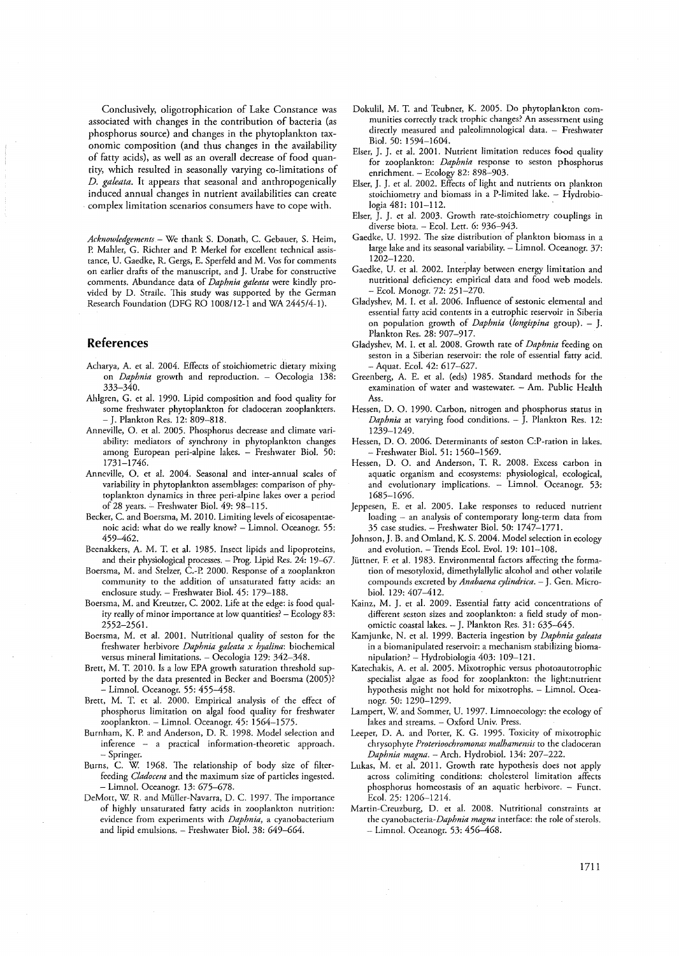Conclusively, oligotrophication of Lake Constance was associated with changes in the contribution of bacteria (as phosphorus source) and changes in the phytoplankton taxonomic composition (and thus changes in the availability of fatty acids), as well as an overall decrease of food quantity, which resulted in seasonally varying co-limitations of *D. galeata.* It appears that seasonal and anthropogenically induced annual changes in nutrient availabilities can create complex limitation scenarios consumers have to cope with.

*Acknowledgements* - We thank S. Donath, C. Gebauer, S. Heim, P. Mahler, G. Richter and P. Merkel for excellent technical assistance, U. Gaedke, R. Gergs, E. Sperfeld and M. Vos for comments on earlier drafts of the manuscript, and J. Urabe for constructive comments. Abundance data of *Daphnia galeata* were kindly provided by D. Straile. This study was supported by the German Research Foundation (DFG RO 1008/12-1 and WA 2445/4-1).

# **References**

- Acharya, A. et al. 2004. Effects of sroichiometric dietary mixing on *Daphnia* growth and reproduction. - Oecologia 138: 333-340.
- Ahlgren, G. et aI. 1990. Lipid composition and food quality for some freshwater phytoplankton for cladoceran zooplankters. - J. Plankton Res. 12: 809-818.
- Anneville, O. et aI. 2005. Phosphorus decrease and climate variability: mediators of synchrony in phytoplankton changes among European peri-alpine lakes. - Freshwater Biol. 50: 1731-1746.
- Anneville, O. et al. 2004. Seasonal and inter-annual scales of variability in phytoplankton assemblages: comparison of phytoplankton dynamics in three peri-a1pine lakes over a period of28 years. Freshwater BioI. 49: 98-1I5.
- Becker, C. and Boersma, M. 2010. Limiting levels of eicosapentaenoic acid: what do we really know? - Limnol. Oceanogr. 55: 459-462.
- Beenakkers, A. M. T. et aI. 1985. Insect lipids and Iipoproteins, and their physiological processes. - Prog. Lipid Res. 24: 19-67.
- Boersma, M. and Stelzer, C.-P. 2000. Response of a zooplankton community to the addition of unsaturated fatty acids: an enclosure study. - Freshwater BioI. 45: 179-188.
- Boersma, M. and Kreurzer, C. 2002. Life at the edge: is food quality really of minor importance at low quantities? - Ecology 83: 2552-2561.
- Boersma, M. et al. 2001. Nutritional quality of seston for the freshwater herbivore *Daphnia galeata x hyalina:* biochemical versus mineral limitations. - Oecologia 129: 342-348.
- Brett, M. T. 2010. Is a low EPA growth saturation threshold supported by the data presented in Becker and Boersma (2005)? - Limnol. Oceanogr. 55: 455-458.
- Brett, M. T. et al. 2000. Empirical analysis of the effect of phosphorus limitation on algal food quality for freshwater zooplankton. - Limnol. Oceanogr. 45: 1564-1575.
- Burnham, K. P. and Anderson, D. R. 1998. Model selection and inference - a practical information-theoretic approach. - Springer.
- Burns, C. W. 1968. The relationship of body size of filterfeeding *Cladocera* and the maximum size of particles ingested. - LimnoI. Oceanogr. 13: 675-678.
- DeMott, W. R. and Müller-Navarra, D. C. 1997. The importance of highly unsaturated fatty acids in zooplankton nutrition: evidence from experiments with *Daphnia,* a cyanobacterium and lipid emulsions. - Freshwater Biol. 38: 649-664.
- Dokulil, M. T. and Teubner, K. 2005. Do phytoplankton communities correctly track trophic changes? An assessment using directly measured and paleolimnological data. - Freshwater BioI. 50: 1594-1604.
- Elser, ]. J. et aI. 2001. Nutrient limitation reduces food quality for zooplankton: *Daphnia* response to seston phosphorus enrichment. Ecology 82: 898-903.
- Elser, J. ]. et al. 2002. Effects of light and nutrients on plankton stoichiometry and biomass in a P-limited lake. - Hydrobiologia 481: 101-112.
- Elser, J. ]. et al. 2003. Growth rate-stoichiometry couplings in diverse biota. - EcoI. Lett. 6: 936-943.
- Gaedke, U. 1992. The size distribution of plankton biomass in a large lake and its seasonal variability.  $-\tilde{\text{L}}$ imnol. Oceanogr. 37: 1202-1220.
- Gaedke, U. et aI. 2002. Interplay between energy limitation and nutritional deficiency: empirical data and food web models. EcoI. Monogr. 72: 251-270.
- Gladyshev, M. I. et al. 2006. Influence of sestonic elemental and essential fatty acid contents in a eutrophic reservoir in Siberia on population growth of *Daphnia (longispina* group). - ]. Plankton Res. 28: 907-917.
- Gladyshev, M. I. et aI. 2008. Growth rate of *Daphnia* feeding on seston in a Siberian reservoir: the role of essential fatty acid. - Aquat. EcoI. 42: 617-627.
- Greenberg, A. E. et aI. (eds) 1985. Standard methods for the examination of water and wastewater. - Am. Public Health *Ass.*
- Hessen, D. O. 1990. Carbon, nitrogen and phosphorus status in *Daphnia* at varying food conditions. - J. Plankton Res. 12: 1239-1249.
- Hessen, D. O. 2006. Determinants of seston C:P-ration in lakes. - Freshwater BioI. 51: 1560-1569.
- Hessen, D. O. and Anderson, T. R. 2008. Excess carbon in aquatic organism and ecosystems: physiological, ecological, and evolutionary implications. - Limnol. Oceanogr. 53: 1685-1696.
- Jeppesen, E. et al. 2005. Lake responses to reduced nutrient loading - an analysis of contemporary long-term data from 35 case studies. Freshwater BioI. 50: 1747-1771.
- Johnson, J. B. and Omland, K. S. 2004. Model selection in ecology and evolution. - Trends Ecol. Evol. 19: 101-108.
- Jüttner, F. et al. 1983. Environmental factors affecting the formation of mesotyloxid, dimethylallylic alcohol and other volatile compounds excreted by *Anabaena cylindrica.* - J. Gen. MicrobioI. 129: 407-412.
- Kainz, M. ]. et al. 2009. Essential fatty acid concentrations of different seston sizes and zooplankton: a field study of monomictic coastal lakes. - J. Plankton Res. 31: 635-645.
- Kamjunke, N. er al. 1999. Bacteria ingestion by *Daphnia galeata*  in a biomanipulated reservoir: a mechanism stabilizing biomanipulation? Hydrobiologia 403: 109-121.
- Katechakis, A. et al. 2005. Mixotrophic versus photoaurotrophic specialist algae as food for zooplankton: the light:nutrient hypothesis might not hold for mixotrophs. - Limnol. Oceanogr. 50: 1290-1299.
- Lampert, W. and Sommer, U. 1997. Limnoecology: rhe ecology of lakes and streams. - Oxford Univ. Press.
- Leeper, D. A. and Porter, K. G. 1995. Toxicity of mixotrophic chrysophyte *Proterioochromonas malhamemis* to the c1adoceran *Daphnia magna.* - Arch. Hydrobiol. 134: 207-222.
- Lukas, M. et al. 2011. Growth rate hypothesis does not apply across colimiting condirions: cholesterol limitation affects phosphorus homeostasis of an aquatic herbivore. - Funct. EcoI. 25: 1206-1214.
- Martin-Creuzburg, D. et al. 2008. Nutritional constraints at the cyanobacteria-Daphnia *magna* interface: the role of sterols. - LimnoI. Oceanogr. 53: 456-468.